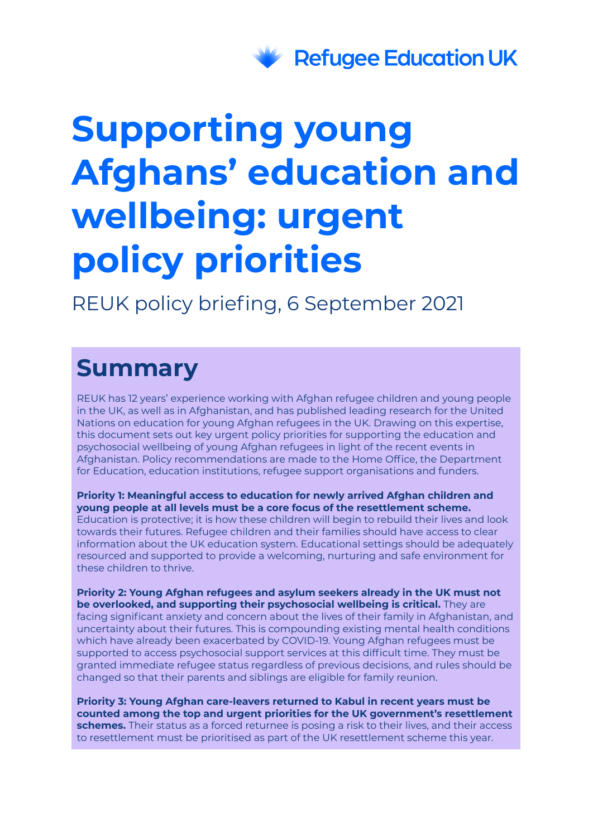

# **Supporting young Afghans' education and wellbeing: urgent policy priorities**

REUK policy briefing, 6 September 2021

## **Summary**

REUK has 12 years' experience working with Afghan refugee children and young people in the UK, as well as in Afghanistan, and has published leading research for the United Nations on education for young Afghan refugees in the UK. Drawing on this expertise, this document sets out key urgent policy priorities for supporting the education and psychosocial wellbeing of young Afghan refugees in light of the recent events in Afghanistan. Policy recommendations are made to the Home Office, the Department for Education, education institutions, refugee support organisations and funders.

**Priority 1: Meaningful access to education for newly arrived Afghan children and young people at all levels must be a core focus of the resettlement scheme.** Education is protective; it is how these children will begin to rebuild their lives and look towards their futures. Refugee children and their families should have access to clear information about the UK education system. Educational settings should be adequately resourced and supported to provide a welcoming, nurturing and safe environment for these children to thrive.

**Priority 2: Young Afghan refugees and asylum seekers already in the UK must not be overlooked, and supporting their psychosocial wellbeing is critical.** They are facing significant anxiety and concern about the lives of their family in Afghanistan, and uncertainty about their futures. This is compounding existing mental health conditions which have already been exacerbated by COVID-19. Young Afghan refugees must be supported to access psychosocial support services at this difficult time. They must be granted immediate refugee status regardless of previous decisions, and rules should be changed so that their parents and siblings are eligible for family reunion.

**Priority 3: Young Afghan care-leavers returned to Kabul in recent years must be counted among the top and urgent priorities for the UK government's resettlement schemes.** Their status as a forced returnee is posing a risk to their lives, and their access to resettlement must be prioritised as part of the UK resettlement scheme this year.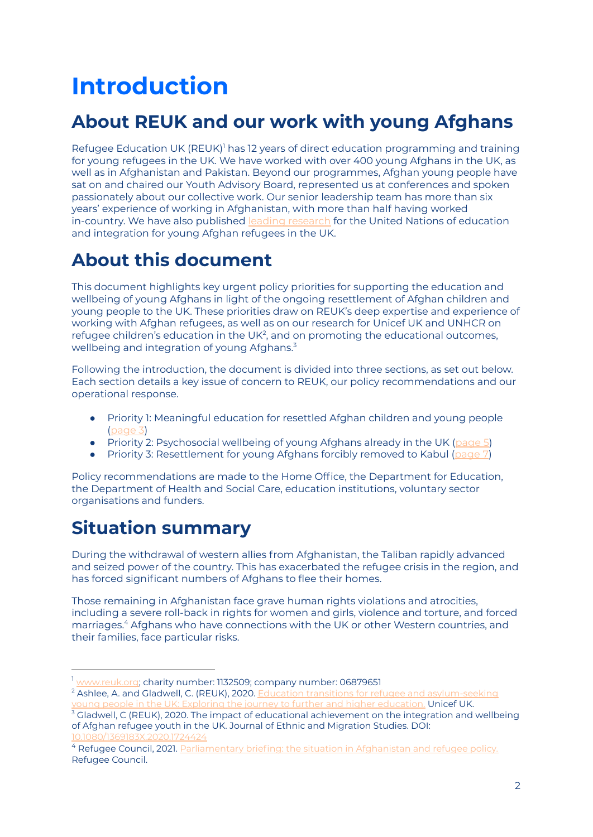## **Introduction**

## **About REUK and our work with young Afghans**

Refugee Education UK (REUK)<sup>1</sup> has 12 years of direct education programming and training for young refugees in the UK. We have worked with over 400 young Afghans in the UK, as well as in Afghanistan and Pakistan. Beyond our programmes, Afghan young people have sat on and chaired our Youth Advisory Board, represented us at conferences and spoken passionately about our collective work. Our senior leadership team has more than six years' experience of working in Afghanistan, with more than half having worked in-country. We have also published leading [research](https://www.reuk.org/research-unuwider) for the United Nations of education and integration for young Afghan refugees in the UK.

## **About this document**

This document highlights key urgent policy priorities for supporting the education and wellbeing of young Afghans in light of the ongoing resettlement of Afghan children and young people to the UK. These priorities draw on REUK's deep expertise and experience of working with Afghan refugees, as well as on our research for Unicef UK and UNHCR on refugee children's education in the UK<sup>2</sup>, and on promoting the educational outcomes, wellbeing and integration of young Afghans. 3

Following the introduction, the document is divided into three sections, as set out below. Each section details a key issue of concern to REUK, our policy recommendations and our operational response.

- Priority 1: Meaningful education for resettled Afghan children and young people [\(page](#page-2-0) 3)
- Priority 2: Psychosocial wellbeing of young Afghans already in the UK ([page](#page-6-0) 5)
- Priority 3: Resettlement for young Afghans forcibly removed to Kabul [\(page](#page-6-0) 7)

Policy recommendations are made to the Home Office, the Department for Education, the Department of Health and Social Care, education institutions, voluntary sector organisations and funders.

## **Situation summary**

During the withdrawal of western allies from Afghanistan, the Taliban rapidly advanced and seized power of the country. This has exacerbated the refugee crisis in the region, and has forced significant numbers of Afghans to flee their homes.

Those remaining in Afghanistan face grave human rights violations and atrocities, including a severe roll-back in rights for women and girls, violence and torture, and forced marriages. <sup>4</sup> Afghans who have connections with the UK or other Western countries, and their families, face particular risks.

<sup>2</sup> Ashlee, A. and Gladwell, C. (REUK), 2020. Education transitions for refugee and [asylum-seeking](https://www.unicef.org.uk/policy/education-transitions-refugees-report/) young people in the UK: Exploring the journey to further and higher [education.](https://www.unicef.org.uk/policy/education-transitions-refugees-report/) Unicef UK.

<sup>1</sup> [www.reuk.org;](http://www.reuk.org) charity number: 1132509; company number: 06879651

<sup>&</sup>lt;sup>3</sup> Gladwell, C (REUK), 2020. The impact of educational achievement on the integration and wellbeing of Afghan refugee youth in the UK. Journal of Ethnic and Migration Studies. DOI: [10.1080/1369183X.2020.1724424](https://www.tandfonline.com/doi/full/10.1080/1369183X.2020.1724424)

<sup>&</sup>lt;sup>4</sup> Refugee Council, 2021. [Parliamentary](https://media.refugeecouncil.org.uk/wp-content/uploads/2021/08/17122221/The-situation-in-Afghanistan-and-refugee-policy-18.8.2021-Refugee-Council-briefing.pdf) briefing: the situation in Afghanistan and refugee policy. Refugee Council.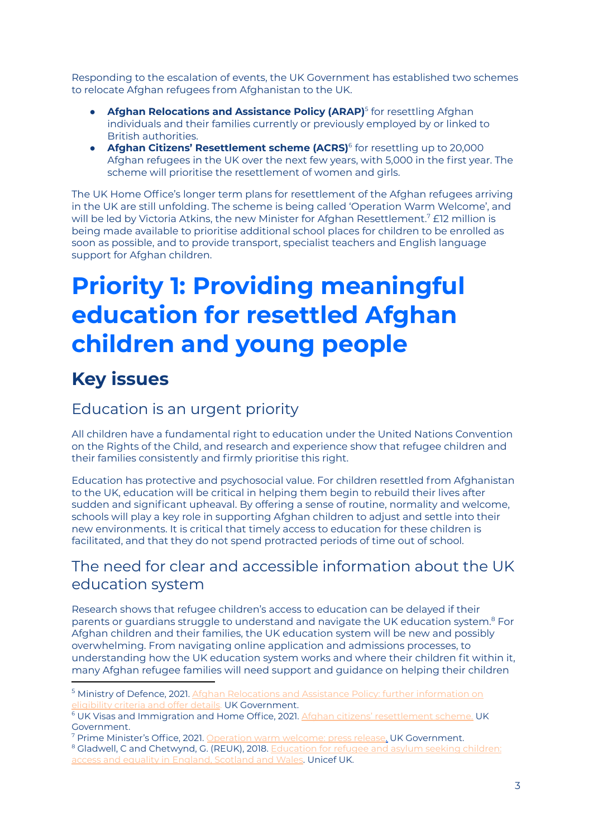Responding to the escalation of events, the UK Government has established two schemes to relocate Afghan refugees from Afghanistan to the UK.

- **Afghan Relocations and Assistance Policy (ARAP)** 5 for resettling Afghan individuals and their families currently or previously employed by or linked to British authorities.
- **Afghan Citizens' Resettlement scheme (ACRS)** 6 for resettling up to 20,000 Afghan refugees in the UK over the next few years, with 5,000 in the first year. The scheme will prioritise the resettlement of women and girls.

The UK Home Office's longer term plans for resettlement of the Afghan refugees arriving in the UK are still unfolding. The scheme is being called 'Operation Warm Welcome', and will be led by Victoria Atkins, the new Minister for Afghan Resettlement.<sup>7</sup> £12 million is being made available to prioritise additional school places for children to be enrolled as soon as possible, and to provide transport, specialist teachers and English language support for Afghan children.

## **Priority 1: Providing meaningful education for resettled Afghan children and young people**

## <span id="page-2-0"></span>**Key issues**

#### Education is an urgent priority

All children have a fundamental right to education under the United Nations Convention on the Rights of the Child, and research and experience show that refugee children and their families consistently and firmly prioritise this right.

Education has protective and psychosocial value. For children resettled from Afghanistan to the UK, education will be critical in helping them begin to rebuild their lives after sudden and significant upheaval. By offering a sense of routine, normality and welcome, schools will play a key role in supporting Afghan children to adjust and settle into their new environments. It is critical that timely access to education for these children is facilitated, and that they do not spend protracted periods of time out of school.

#### The need for clear and accessible information about the UK education system

Research shows that refugee children's access to education can be delayed if their parents or guardians struggle to understand and navigate the UK education system. <sup>8</sup> For Afghan children and their families, the UK education system will be new and possibly overwhelming. From navigating online application and admissions processes, to understanding how the UK education system works and where their children fit within it, many Afghan refugee families will need support and guidance on helping their children

<sup>7</sup> Prime Minister's Office, 2021. [Operation](https://www.gov.uk/government/news/operation-warm-welcome) warm welcome: press release. UK Government.

<sup>8</sup> Gladwell, C and Chetwynd, G. (REUK), 2018. [Education](https://www.unicef.org.uk/publications/access-to-education-refugee-asylum-seeking-children/) for refugee and asylum seeking children: access and equality in [England,](https://www.unicef.org.uk/publications/access-to-education-refugee-asylum-seeking-children/) Scotland and Wales. Unicef UK.

<sup>&</sup>lt;sup>5</sup> Ministry of Defence, 2021. Afghan Relocations and Assistance Policy: further [information](https://www.gov.uk/government/publications/afghan-relocations-and-assistance-policy/afghan-relocations-and-assistance-policy-information-and-guidance) on [eligibility](https://www.gov.uk/government/publications/afghan-relocations-and-assistance-policy/afghan-relocations-and-assistance-policy-information-and-guidance) criteria and offer details. UK Government.

<sup>&</sup>lt;sup>6</sup> UK Visas and Immigration and Home Office, 2021. Afghan citizens' [resettlement](https://www.gov.uk/guidance/afghan-citizens-resettlement-scheme) scheme. UK Government.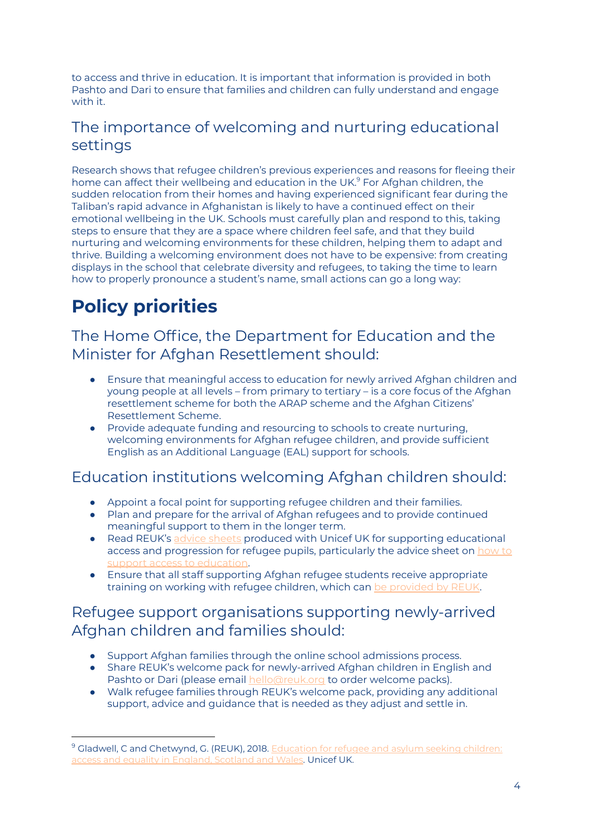to access and thrive in education. It is important that information is provided in both Pashto and Dari to ensure that families and children can fully understand and engage with it.

#### The importance of welcoming and nurturing educational settings

Research shows that refugee children's previous experiences and reasons for fleeing their home can affect their wellbeing and education in the UK. <sup>9</sup> For Afghan children, the sudden relocation from their homes and having experienced significant fear during the Taliban's rapid advance in Afghanistan is likely to have a continued effect on their emotional wellbeing in the UK. Schools must carefully plan and respond to this, taking steps to ensure that they are a space where children feel safe, and that they build nurturing and welcoming environments for these children, helping them to adapt and thrive. Building a welcoming environment does not have to be expensive: from creating displays in the school that celebrate diversity and refugees, to taking the time to learn how to properly pronounce a student's name, small actions can go a long way:

## **Policy priorities**

The Home Office, the Department for Education and the Minister for Afghan Resettlement should:

- Ensure that meaningful access to education for newly arrived Afghan children and young people at all levels – from primary to tertiary – is a core focus of the Afghan resettlement scheme for both the ARAP scheme and the Afghan Citizens' Resettlement Scheme.
- Provide adequate funding and resourcing to schools to create nurturing, welcoming environments for Afghan refugee children, and provide sufficient English as an Additional Language (EAL) support for schools.

#### Education institutions welcoming Afghan children should:

- Appoint a focal point for supporting refugee children and their families.
- Plan and prepare for the arrival of Afghan refugees and to provide continued meaningful support to them in the longer term.
- Read REUK's advice [sheets](https://www.reuk.org/resource-educationtransitions) produced with Unicef UK for supporting educational access and progression for refugee pupils, particularly the advice sheet on [how](http://hubble-live-assets.s3.amazonaws.com/rsn/redactor2_assets/files/757/2020_Nov_RPC_Advice_sheet_Access_to_schools_final.pdf) to support access to [education](http://hubble-live-assets.s3.amazonaws.com/rsn/redactor2_assets/files/757/2020_Nov_RPC_Advice_sheet_Access_to_schools_final.pdf).
- Ensure that all staff supporting Afghan refugee students receive appropriate training on working with refugee children, which can be [provided](https://www.reuk.org/training) by REUK.

#### Refugee support organisations supporting newly-arrived Afghan children and families should:

- Support Afghan families through the online school admissions process.
- Share REUK's welcome pack for newly-arrived Afghan children in English and Pashto or Dari (please email [hello@reuk.org](mailto:hello@reuk.org) to order welcome packs).
- Walk refugee families through REUK's welcome pack, providing any additional support, advice and guidance that is needed as they adjust and settle in.

<sup>&</sup>lt;sup>9</sup> Gladwell, C and Chetwynd, G. (REUK), 2018. [Education](https://www.unicef.org.uk/publications/access-to-education-refugee-asylum-seeking-children/) for refugee and asylum seeking children: access and equality in [England,](https://www.unicef.org.uk/publications/access-to-education-refugee-asylum-seeking-children/) Scotland and Wales. Unicef UK.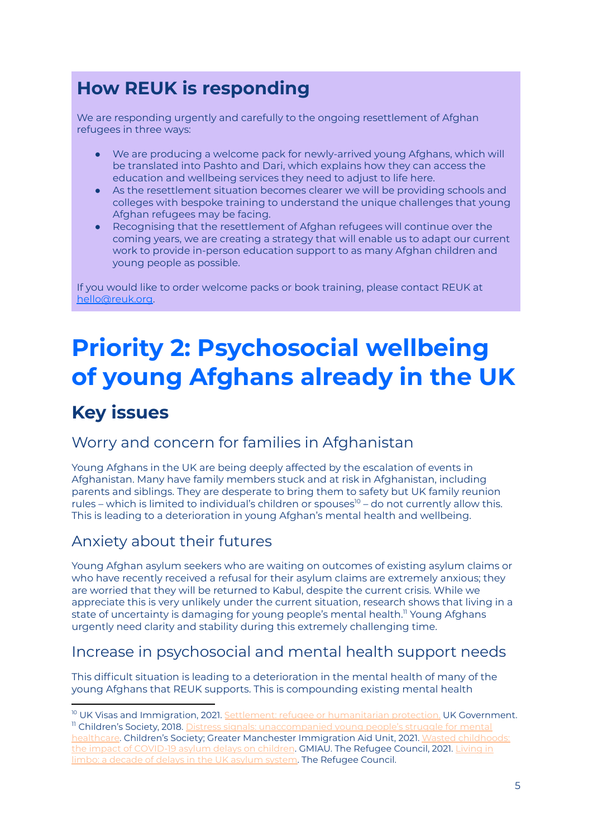## **How REUK is responding**

We are responding urgently and carefully to the ongoing resettlement of Afghan refugees in three ways:

- We are producing a welcome pack for newly-arrived young Afghans, which will be translated into Pashto and Dari, which explains how they can access the education and wellbeing services they need to adjust to life here.
- As the resettlement situation becomes clearer we will be providing schools and colleges with bespoke training to understand the unique challenges that young Afghan refugees may be facing.
- Recognising that the resettlement of Afghan refugees will continue over the coming years, we are creating a strategy that will enable us to adapt our current work to provide in-person education support to as many Afghan children and young people as possible.

If you would like to order welcome packs or book training, please contact REUK at [hello@reuk.org.](mailto:hello@reuk.org)

## **Priority 2: Psychosocial wellbeing of young Afghans already in the UK**

## **Key issues**

#### Worry and concern for families in Afghanistan

Young Afghans in the UK are being deeply affected by the escalation of events in Afghanistan. Many have family members stuck and at risk in Afghanistan, including parents and siblings. They are desperate to bring them to safety but UK family reunion rules – which is limited to individual's children or spouses<sup>10</sup> – do not currently allow this. This is leading to a deterioration in young Afghan's mental health and wellbeing.

#### Anxiety about their futures

Young Afghan asylum seekers who are waiting on outcomes of existing asylum claims or who have recently received a refusal for their asylum claims are extremely anxious; they are worried that they will be returned to Kabul, despite the current crisis. While we appreciate this is very unlikely under the current situation, research shows that living in a state of uncertainty is damaging for young people's mental health. <sup>11</sup> Young Afghans urgently need clarity and stability during this extremely challenging time.

#### Increase in psychosocial and mental health support needs

This difficult situation is leading to a deterioration in the mental health of many of the young Afghans that REUK supports. This is compounding existing mental health

<sup>&</sup>lt;sup>11</sup> Children's Society, 2018. Distress signals: [unaccompanied](https://www.childrenssociety.org.uk/sites/default/files/2020-10/distress-signals-report.pdf) young people's struggle for mental [healthcare](https://www.childrenssociety.org.uk/sites/default/files/2020-10/distress-signals-report.pdf). Children's Society; Greater Manchester Immigration Aid Unit, 2021. Wasted [childhoods:](https://gmiau.org/new-report-wasted-childhoods-the-impact-of-covid-19-asylum-delays-on-children/) the impact of [COVID-19](https://gmiau.org/new-report-wasted-childhoods-the-impact-of-covid-19-asylum-delays-on-children/) asylum delays on children. GMIAU. The Refugee Council, 2021. [Living](https://media.refugeecouncil.org.uk/wp-content/uploads/2021/07/01191305/Living-in-Limbo-A-decade-of-delays-in-the-UK-Asylum-system-July-2021.pdf) in <sup>10</sup> UK Visas and Immigration, 2021. Settlement: refugee or [humanitarian](https://www.gov.uk/settlement-refugee-or-humanitarian-protection/family-reunion) protection. UK Government.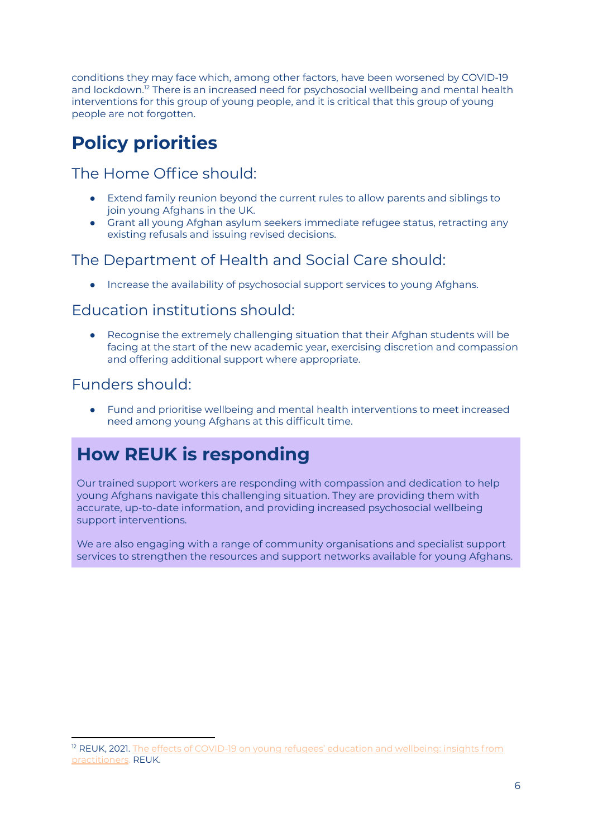conditions they may face which, among other factors, have been worsened by COVID-19 and lockdown.<sup>12</sup> There is an increased need for psychosocial wellbeing and mental health interventions for this group of young people, and it is critical that this group of young people are not forgotten.

## **Policy priorities**

#### The Home Office should:

- Extend family reunion beyond the current rules to allow parents and siblings to join young Afghans in the UK.
- Grant all young Afghan asylum seekers immediate refugee status, retracting any existing refusals and issuing revised decisions.

#### The Department of Health and Social Care should:

● Increase the availability of psychosocial support services to young Afghans.

#### Education institutions should:

● Recognise the extremely challenging situation that their Afghan students will be facing at the start of the new academic year, exercising discretion and compassion and offering additional support where appropriate.

#### Funders should:

● Fund and prioritise wellbeing and mental health interventions to meet increased need among young Afghans at this difficult time.

## **How REUK is responding**

Our trained support workers are responding with compassion and dedication to help young Afghans navigate this challenging situation. They are providing them with accurate, up-to-date information, and providing increased psychosocial wellbeing support interventions.

We are also engaging with a range of community organisations and specialist support services to strengthen the resources and support networks available for young Afghans.

<sup>&</sup>lt;sup>12</sup> REUK, 2021. The effects of COVID-19 on young refugees' education and [wellbeing:](https://02c53844-21e1-4850-80b2-9464608e515f.filesusr.com/ugd/d5aa55_12e0b55214e648e1b37de7f6dcac15c3.pdf) insights from [practitioners](https://02c53844-21e1-4850-80b2-9464608e515f.filesusr.com/ugd/d5aa55_12e0b55214e648e1b37de7f6dcac15c3.pdf). REUK.